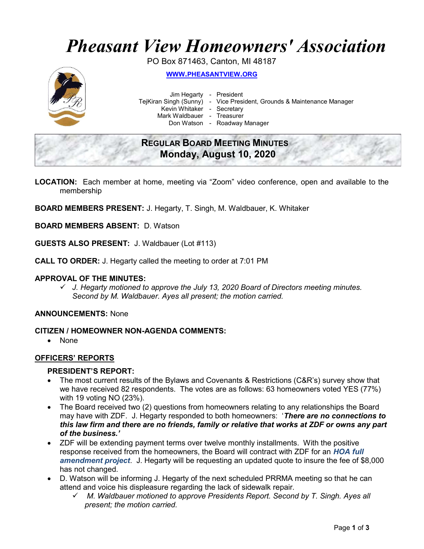# Pheasant View Homeowners' Association

PO Box 871463, Canton, MI 48187



WWW.PHEASANTVIEW.ORG

Jim Hegarty - President

TejKiran Singh (Sunny) - Vice President, Grounds & Maintenance Manager

Kevin Whitaker - Secretary

Mark Waldbauer - Treasurer

Don Watson - Roadway Manager

# REGULAR BOARD MEETING MINUTES Monday, August 10, 2020

- LOCATION: Each member at home, meeting via "Zoom" video conference, open and available to the membership
- BOARD MEMBERS PRESENT: J. Hegarty, T. Singh, M. Waldbauer, K. Whitaker

BOARD MEMBERS ABSENT: D. Watson

GUESTS ALSO PRESENT: J. Waldbauer (Lot #113)

CALL TO ORDER: J. Hegarty called the meeting to order at 7:01 PM

#### APPROVAL OF THE MINUTES:

 $\checkmark$  J. Hegarty motioned to approve the July 13, 2020 Board of Directors meeting minutes. Second by M. Waldbauer. Ayes all present; the motion carried.

#### ANNOUNCEMENTS: None

#### CITIZEN / HOMEOWNER NON-AGENDA COMMENTS:

• None

# OFFICERS' REPORTS

#### PRESIDENT'S REPORT:

- The most current results of the Bylaws and Covenants & Restrictions (C&R's) survey show that we have received 82 respondents. The votes are as follows: 63 homeowners voted YES (77%) with 19 voting NO (23%).
- The Board received two (2) questions from homeowners relating to any relationships the Board may have with ZDF. J. Hegarty responded to both homeowners: 'There are no connections to this law firm and there are no friends, family or relative that works at ZDF or owns any part of the business.'
- ZDF will be extending payment terms over twelve monthly installments. With the positive response received from the homeowners, the Board will contract with ZDF for an HOA full amendment project. J. Hegarty will be requesting an updated quote to insure the fee of \$8,000 has not changed.
- D. Watson will be informing J. Hegarty of the next scheduled PRRMA meeting so that he can attend and voice his displeasure regarding the lack of sidewalk repair.
	- M. Waldbauer motioned to approve Presidents Report. Second by T. Singh. Ayes all present; the motion carried.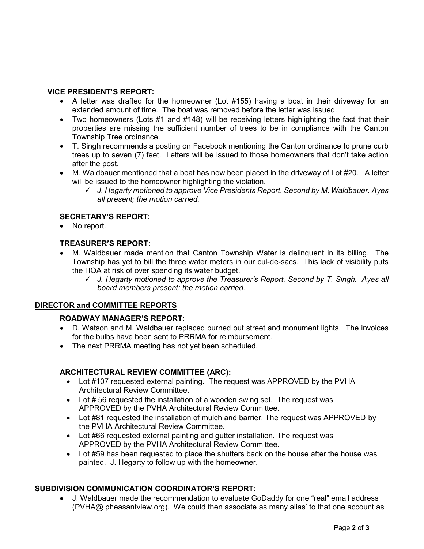# VICE PRESIDENT'S REPORT:

- A letter was drafted for the homeowner (Lot #155) having a boat in their driveway for an extended amount of time. The boat was removed before the letter was issued.
- Two homeowners (Lots #1 and #148) will be receiving letters highlighting the fact that their properties are missing the sufficient number of trees to be in compliance with the Canton Township Tree ordinance.
- T. Singh recommends a posting on Facebook mentioning the Canton ordinance to prune curb trees up to seven (7) feet. Letters will be issued to those homeowners that don't take action after the post.
- M. Waldbauer mentioned that a boat has now been placed in the driveway of Lot #20. A letter will be issued to the homeowner highlighting the violation.
	- $\checkmark$  J. Hegarty motioned to approve Vice Presidents Report. Second by M. Waldbauer. Ayes all present; the motion carried.

# SECRETARY'S REPORT:

• No report.

# TREASURER'S REPORT:

- M. Waldbauer made mention that Canton Township Water is delinquent in its billing. The Township has yet to bill the three water meters in our cul-de-sacs. This lack of visibility puts the HOA at risk of over spending its water budget.
	- $\checkmark$  J. Hegarty motioned to approve the Treasurer's Report. Second by T. Singh. Ayes all board members present; the motion carried.

# DIRECTOR and COMMITTEE REPORTS

# ROADWAY MANAGER'S REPORT:

- D. Watson and M. Waldbauer replaced burned out street and monument lights. The invoices for the bulbs have been sent to PRRMA for reimbursement.
- The next PRRMA meeting has not yet been scheduled.

# ARCHITECTURAL REVIEW COMMITTEE (ARC):

- Lot #107 requested external painting. The request was APPROVED by the PVHA Architectural Review Committee.
- Lot #56 requested the installation of a wooden swing set. The request was APPROVED by the PVHA Architectural Review Committee.
- Lot #81 requested the installation of mulch and barrier. The request was APPROVED by the PVHA Architectural Review Committee.
- Lot #66 requested external painting and gutter installation. The request was APPROVED by the PVHA Architectural Review Committee.
- Lot #59 has been requested to place the shutters back on the house after the house was painted. J. Hegarty to follow up with the homeowner.

# SUBDIVISION COMMUNICATION COORDINATOR'S REPORT:

 J. Waldbauer made the recommendation to evaluate GoDaddy for one "real" email address (PVHA@ pheasantview.org). We could then associate as many alias' to that one account as